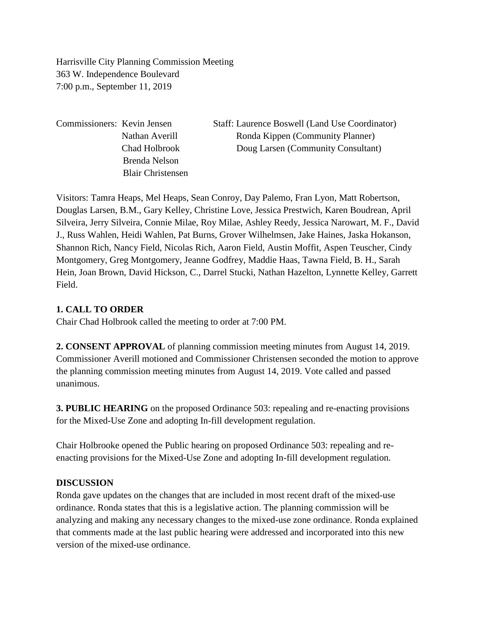Harrisville City Planning Commission Meeting 363 W. Independence Boulevard 7:00 p.m., September 11, 2019

Brenda Nelson Blair Christensen

Commissioners: Kevin Jensen Staff: Laurence Boswell (Land Use Coordinator) Nathan Averill Ronda Kippen (Community Planner) Chad Holbrook Doug Larsen (Community Consultant)

Visitors: Tamra Heaps, Mel Heaps, Sean Conroy, Day Palemo, Fran Lyon, Matt Robertson, Douglas Larsen, B.M., Gary Kelley, Christine Love, Jessica Prestwich, Karen Boudrean, April Silveira, Jerry Silveira, Connie Milae, Roy Milae, Ashley Reedy, Jessica Narowart, M. F., David J., Russ Wahlen, Heidi Wahlen, Pat Burns, Grover Wilhelmsen, Jake Haines, Jaska Hokanson, Shannon Rich, Nancy Field, Nicolas Rich, Aaron Field, Austin Moffit, Aspen Teuscher, Cindy Montgomery, Greg Montgomery, Jeanne Godfrey, Maddie Haas, Tawna Field, B. H., Sarah Hein, Joan Brown, David Hickson, C., Darrel Stucki, Nathan Hazelton, Lynnette Kelley, Garrett Field.

### **1. CALL TO ORDER**

Chair Chad Holbrook called the meeting to order at 7:00 PM.

**2. CONSENT APPROVAL** of planning commission meeting minutes from August 14, 2019. Commissioner Averill motioned and Commissioner Christensen seconded the motion to approve the planning commission meeting minutes from August 14, 2019. Vote called and passed unanimous.

**3. PUBLIC HEARING** on the proposed Ordinance 503: repealing and re-enacting provisions for the Mixed-Use Zone and adopting In-fill development regulation.

Chair Holbrooke opened the Public hearing on proposed Ordinance 503: repealing and reenacting provisions for the Mixed-Use Zone and adopting In-fill development regulation.

### **DISCUSSION**

Ronda gave updates on the changes that are included in most recent draft of the mixed-use ordinance. Ronda states that this is a legislative action. The planning commission will be analyzing and making any necessary changes to the mixed-use zone ordinance. Ronda explained that comments made at the last public hearing were addressed and incorporated into this new version of the mixed-use ordinance.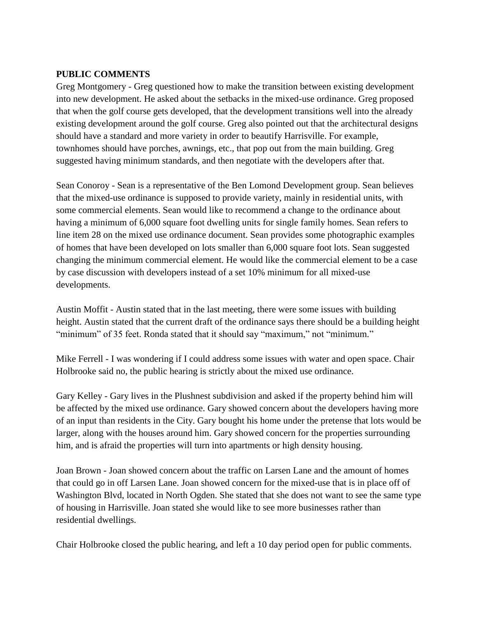#### **PUBLIC COMMENTS**

Greg Montgomery - Greg questioned how to make the transition between existing development into new development. He asked about the setbacks in the mixed-use ordinance. Greg proposed that when the golf course gets developed, that the development transitions well into the already existing development around the golf course. Greg also pointed out that the architectural designs should have a standard and more variety in order to beautify Harrisville. For example, townhomes should have porches, awnings, etc., that pop out from the main building. Greg suggested having minimum standards, and then negotiate with the developers after that.

Sean Conoroy - Sean is a representative of the Ben Lomond Development group. Sean believes that the mixed-use ordinance is supposed to provide variety, mainly in residential units, with some commercial elements. Sean would like to recommend a change to the ordinance about having a minimum of 6,000 square foot dwelling units for single family homes. Sean refers to line item 28 on the mixed use ordinance document. Sean provides some photographic examples of homes that have been developed on lots smaller than 6,000 square foot lots. Sean suggested changing the minimum commercial element. He would like the commercial element to be a case by case discussion with developers instead of a set 10% minimum for all mixed-use developments.

Austin Moffit - Austin stated that in the last meeting, there were some issues with building height. Austin stated that the current draft of the ordinance says there should be a building height "minimum" of 35 feet. Ronda stated that it should say "maximum," not "minimum."

Mike Ferrell - I was wondering if I could address some issues with water and open space. Chair Holbrooke said no, the public hearing is strictly about the mixed use ordinance.

Gary Kelley - Gary lives in the Plushnest subdivision and asked if the property behind him will be affected by the mixed use ordinance. Gary showed concern about the developers having more of an input than residents in the City. Gary bought his home under the pretense that lots would be larger, along with the houses around him. Gary showed concern for the properties surrounding him, and is afraid the properties will turn into apartments or high density housing.

Joan Brown - Joan showed concern about the traffic on Larsen Lane and the amount of homes that could go in off Larsen Lane. Joan showed concern for the mixed-use that is in place off of Washington Blvd, located in North Ogden. She stated that she does not want to see the same type of housing in Harrisville. Joan stated she would like to see more businesses rather than residential dwellings.

Chair Holbrooke closed the public hearing, and left a 10 day period open for public comments.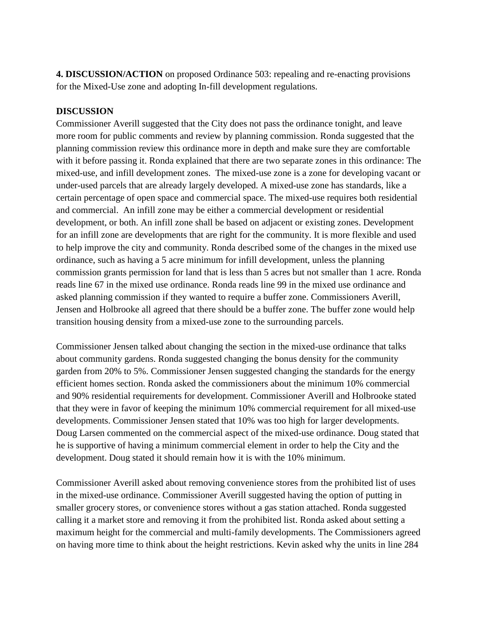**4. DISCUSSION/ACTION** on proposed Ordinance 503: repealing and re-enacting provisions for the Mixed-Use zone and adopting In-fill development regulations.

#### **DISCUSSION**

Commissioner Averill suggested that the City does not pass the ordinance tonight, and leave more room for public comments and review by planning commission. Ronda suggested that the planning commission review this ordinance more in depth and make sure they are comfortable with it before passing it. Ronda explained that there are two separate zones in this ordinance: The mixed-use, and infill development zones. The mixed-use zone is a zone for developing vacant or under-used parcels that are already largely developed. A mixed-use zone has standards, like a certain percentage of open space and commercial space. The mixed-use requires both residential and commercial. An infill zone may be either a commercial development or residential development, or both. An infill zone shall be based on adjacent or existing zones. Development for an infill zone are developments that are right for the community. It is more flexible and used to help improve the city and community. Ronda described some of the changes in the mixed use ordinance, such as having a 5 acre minimum for infill development, unless the planning commission grants permission for land that is less than 5 acres but not smaller than 1 acre. Ronda reads line 67 in the mixed use ordinance. Ronda reads line 99 in the mixed use ordinance and asked planning commission if they wanted to require a buffer zone. Commissioners Averill, Jensen and Holbrooke all agreed that there should be a buffer zone. The buffer zone would help transition housing density from a mixed-use zone to the surrounding parcels.

Commissioner Jensen talked about changing the section in the mixed-use ordinance that talks about community gardens. Ronda suggested changing the bonus density for the community garden from 20% to 5%. Commissioner Jensen suggested changing the standards for the energy efficient homes section. Ronda asked the commissioners about the minimum 10% commercial and 90% residential requirements for development. Commissioner Averill and Holbrooke stated that they were in favor of keeping the minimum 10% commercial requirement for all mixed-use developments. Commissioner Jensen stated that 10% was too high for larger developments. Doug Larsen commented on the commercial aspect of the mixed-use ordinance. Doug stated that he is supportive of having a minimum commercial element in order to help the City and the development. Doug stated it should remain how it is with the 10% minimum.

Commissioner Averill asked about removing convenience stores from the prohibited list of uses in the mixed-use ordinance. Commissioner Averill suggested having the option of putting in smaller grocery stores, or convenience stores without a gas station attached. Ronda suggested calling it a market store and removing it from the prohibited list. Ronda asked about setting a maximum height for the commercial and multi-family developments. The Commissioners agreed on having more time to think about the height restrictions. Kevin asked why the units in line 284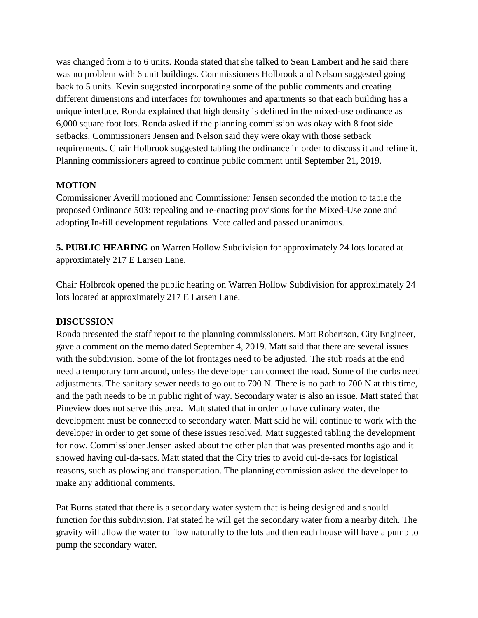was changed from 5 to 6 units. Ronda stated that she talked to Sean Lambert and he said there was no problem with 6 unit buildings. Commissioners Holbrook and Nelson suggested going back to 5 units. Kevin suggested incorporating some of the public comments and creating different dimensions and interfaces for townhomes and apartments so that each building has a unique interface. Ronda explained that high density is defined in the mixed-use ordinance as 6,000 square foot lots. Ronda asked if the planning commission was okay with 8 foot side setbacks. Commissioners Jensen and Nelson said they were okay with those setback requirements. Chair Holbrook suggested tabling the ordinance in order to discuss it and refine it. Planning commissioners agreed to continue public comment until September 21, 2019.

## **MOTION**

Commissioner Averill motioned and Commissioner Jensen seconded the motion to table the proposed Ordinance 503: repealing and re-enacting provisions for the Mixed-Use zone and adopting In-fill development regulations. Vote called and passed unanimous.

**5. PUBLIC HEARING** on Warren Hollow Subdivision for approximately 24 lots located at approximately 217 E Larsen Lane.

Chair Holbrook opened the public hearing on Warren Hollow Subdivision for approximately 24 lots located at approximately 217 E Larsen Lane.

### **DISCUSSION**

Ronda presented the staff report to the planning commissioners. Matt Robertson, City Engineer, gave a comment on the memo dated September 4, 2019. Matt said that there are several issues with the subdivision. Some of the lot frontages need to be adjusted. The stub roads at the end need a temporary turn around, unless the developer can connect the road. Some of the curbs need adjustments. The sanitary sewer needs to go out to 700 N. There is no path to 700 N at this time, and the path needs to be in public right of way. Secondary water is also an issue. Matt stated that Pineview does not serve this area. Matt stated that in order to have culinary water, the development must be connected to secondary water. Matt said he will continue to work with the developer in order to get some of these issues resolved. Matt suggested tabling the development for now. Commissioner Jensen asked about the other plan that was presented months ago and it showed having cul-da-sacs. Matt stated that the City tries to avoid cul-de-sacs for logistical reasons, such as plowing and transportation. The planning commission asked the developer to make any additional comments.

Pat Burns stated that there is a secondary water system that is being designed and should function for this subdivision. Pat stated he will get the secondary water from a nearby ditch. The gravity will allow the water to flow naturally to the lots and then each house will have a pump to pump the secondary water.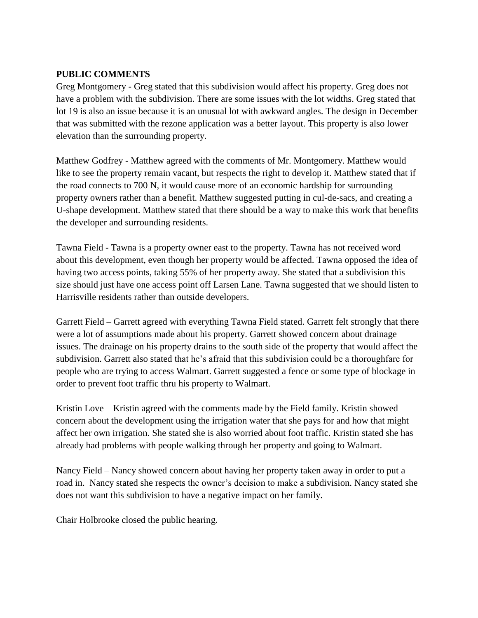#### **PUBLIC COMMENTS**

Greg Montgomery - Greg stated that this subdivision would affect his property. Greg does not have a problem with the subdivision. There are some issues with the lot widths. Greg stated that lot 19 is also an issue because it is an unusual lot with awkward angles. The design in December that was submitted with the rezone application was a better layout. This property is also lower elevation than the surrounding property.

Matthew Godfrey - Matthew agreed with the comments of Mr. Montgomery. Matthew would like to see the property remain vacant, but respects the right to develop it. Matthew stated that if the road connects to 700 N, it would cause more of an economic hardship for surrounding property owners rather than a benefit. Matthew suggested putting in cul-de-sacs, and creating a U-shape development. Matthew stated that there should be a way to make this work that benefits the developer and surrounding residents.

Tawna Field - Tawna is a property owner east to the property. Tawna has not received word about this development, even though her property would be affected. Tawna opposed the idea of having two access points, taking 55% of her property away. She stated that a subdivision this size should just have one access point off Larsen Lane. Tawna suggested that we should listen to Harrisville residents rather than outside developers.

Garrett Field – Garrett agreed with everything Tawna Field stated. Garrett felt strongly that there were a lot of assumptions made about his property. Garrett showed concern about drainage issues. The drainage on his property drains to the south side of the property that would affect the subdivision. Garrett also stated that he's afraid that this subdivision could be a thoroughfare for people who are trying to access Walmart. Garrett suggested a fence or some type of blockage in order to prevent foot traffic thru his property to Walmart.

Kristin Love – Kristin agreed with the comments made by the Field family. Kristin showed concern about the development using the irrigation water that she pays for and how that might affect her own irrigation. She stated she is also worried about foot traffic. Kristin stated she has already had problems with people walking through her property and going to Walmart.

Nancy Field – Nancy showed concern about having her property taken away in order to put a road in. Nancy stated she respects the owner's decision to make a subdivision. Nancy stated she does not want this subdivision to have a negative impact on her family.

Chair Holbrooke closed the public hearing.